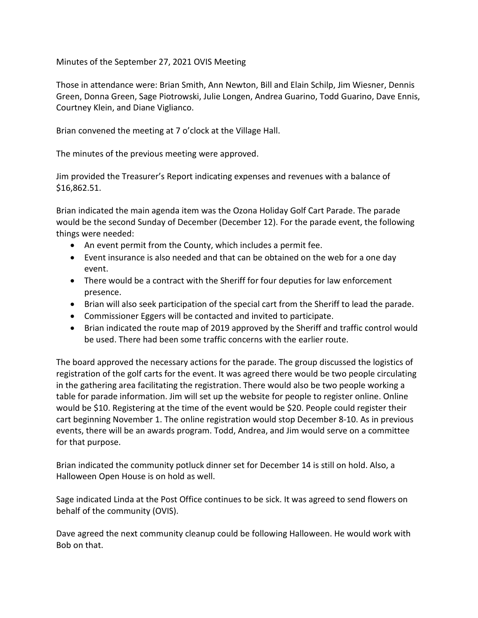Minutes of the September 27, 2021 OVIS Meeting

Those in attendance were: Brian Smith, Ann Newton, Bill and Elain Schilp, Jim Wiesner, Dennis Green, Donna Green, Sage Piotrowski, Julie Longen, Andrea Guarino, Todd Guarino, Dave Ennis, Courtney Klein, and Diane Viglianco.

Brian convened the meeting at 7 o'clock at the Village Hall.

The minutes of the previous meeting were approved.

Jim provided the Treasurer's Report indicating expenses and revenues with a balance of \$16,862.51.

Brian indicated the main agenda item was the Ozona Holiday Golf Cart Parade. The parade would be the second Sunday of December (December 12). For the parade event, the following things were needed:

- An event permit from the County, which includes a permit fee.
- Event insurance is also needed and that can be obtained on the web for a one day event.
- There would be a contract with the Sheriff for four deputies for law enforcement presence.
- Brian will also seek participation of the special cart from the Sheriff to lead the parade.
- Commissioner Eggers will be contacted and invited to participate.
- Brian indicated the route map of 2019 approved by the Sheriff and traffic control would be used. There had been some traffic concerns with the earlier route.

The board approved the necessary actions for the parade. The group discussed the logistics of registration of the golf carts for the event. It was agreed there would be two people circulating in the gathering area facilitating the registration. There would also be two people working a table for parade information. Jim will set up the website for people to register online. Online would be \$10. Registering at the time of the event would be \$20. People could register their cart beginning November 1. The online registration would stop December 8-10. As in previous events, there will be an awards program. Todd, Andrea, and Jim would serve on a committee for that purpose.

Brian indicated the community potluck dinner set for December 14 is still on hold. Also, a Halloween Open House is on hold as well.

Sage indicated Linda at the Post Office continues to be sick. It was agreed to send flowers on behalf of the community (OVIS).

Dave agreed the next community cleanup could be following Halloween. He would work with Bob on that.